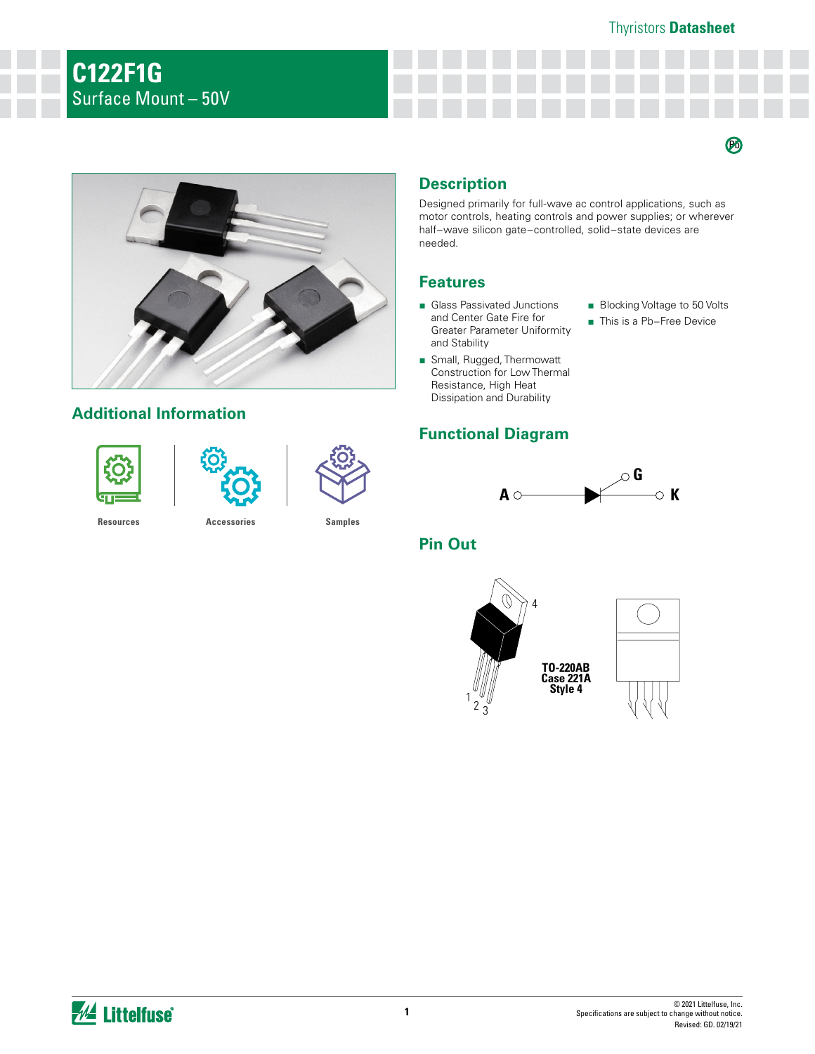#### Thyristors **Datasheet**

 $\boldsymbol{\varnothing}$ 



## **Additional Information**





# **Description**

Designed primarily for full-wave ac control applications, such as motor controls, heating controls and power supplies; or wherever half−wave silicon gate−controlled, solid−state devices are needed.

#### **Features**

- Glass Passivated Junctions and Center Gate Fire for Greater Parameter Uniformity and Stability
- Blocking Voltage to 50 Volts
- This is a Pb-Free Device
- Small, Rugged, Thermowatt Construction for Low Thermal Resistance, High Heat Dissipation and Durability

## **Functional Diagram**



**Pin Out**



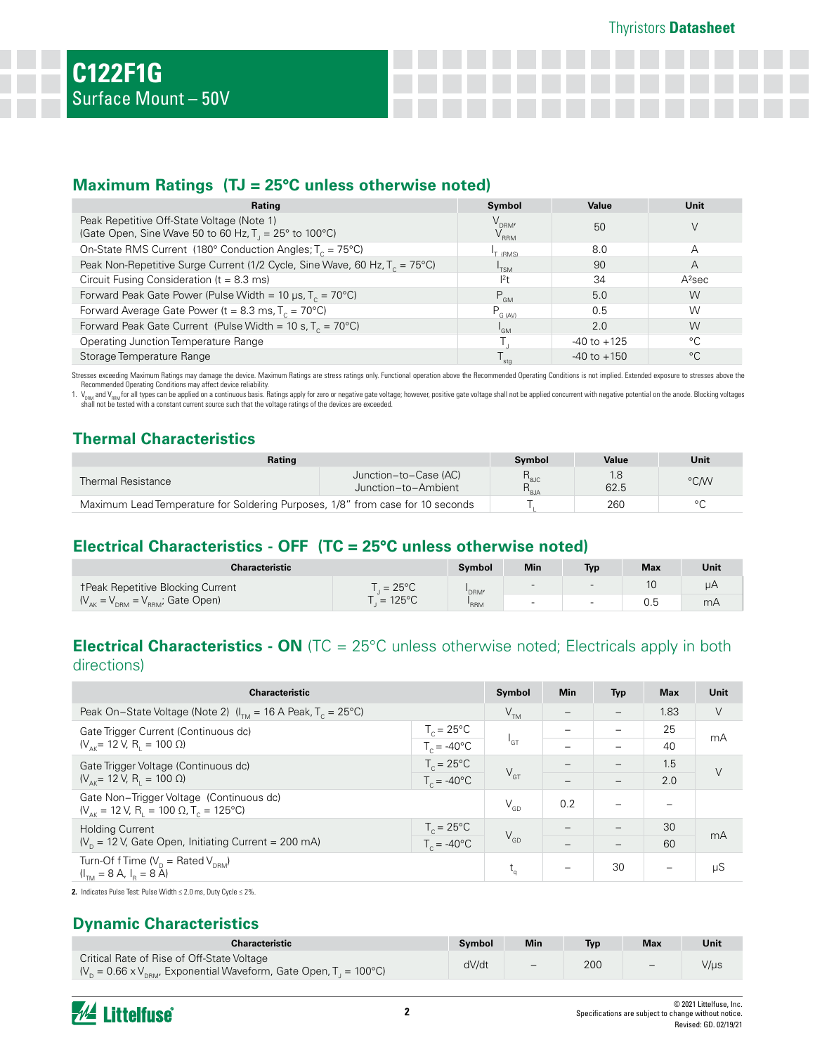#### **Maximum Ratings (TJ = 25°C unless otherwise noted)**

| Rating                                                                                                      | Symbol                                                        | Value           | <b>Unit</b>        |
|-------------------------------------------------------------------------------------------------------------|---------------------------------------------------------------|-----------------|--------------------|
| Peak Repetitive Off-State Voltage (Note 1)<br>(Gate Open, Sine Wave 50 to 60 Hz, $T_1 = 25^\circ$ to 100°C) | $\mathsf{V}_{\text{\tiny{DRM}^{\prime}}}$<br>$\rm V_{_{RRM}}$ | 50              |                    |
| On-State RMS Current (180° Conduction Angles; $T_c = 75^{\circ}$ C)                                         | T (RMS)                                                       | 8.0             | А                  |
| Peak Non-Repetitive Surge Current (1/2 Cycle, Sine Wave, 60 Hz, $T_c = 75^{\circ}$ C)                       | <sup>I</sup> TSM                                              | -90             | Α                  |
| Circuit Fusing Consideration ( $t = 8.3$ ms)                                                                | $12$ t                                                        | 34              | A <sup>2</sup> sec |
| Forward Peak Gate Power (Pulse Width = 10 µs, $T_c = 70^{\circ}$ C)                                         | $P_{GM}$                                                      | 5.0             | W                  |
| Forward Average Gate Power ( $t = 8.3$ ms, $T_c = 70^{\circ}$ C)                                            | $P_{G (AV)}$                                                  | 0.5             | W                  |
| Forward Peak Gate Current (Pulse Width = 10 s, $T_c = 70^{\circ}$ C)                                        | <sup>I</sup> GM                                               | 2.0             | W                  |
| Operating Junction Temperature Range                                                                        |                                                               | $-40$ to $+125$ | $^{\circ}$ C       |
| Storage Temperature Range                                                                                   | sta                                                           | $-40$ to $+150$ | $^{\circ}C$        |

Stresses exceeding Maximum Ratings may damage the device. Maximum Ratings are stress ratings only. Functional operation above the Recommended Operating Conditions is not implied. Extended exposure to stresses above the

Recommended Operating Conditions may affect device reliability.<br>1. V<sub>ises d</sub>and Y<sub>ises</sub>tor all types can be applied on a continuous basis. Ratings apply for zero or negative gate voltage; however, positive gate voltage sha

# **Thermal Characteristics**

| Rating                                                                         |                                              | Symbol                                                   | Value | Unit    |
|--------------------------------------------------------------------------------|----------------------------------------------|----------------------------------------------------------|-------|---------|
| <b>Thermal Resistance</b>                                                      | Junction-to-Case (AC)<br>Junction-to-Ambient | $R_{\scriptscriptstyle\mathrm{SJC}}$<br>$R_{\rm g_{JA}}$ | 62.5  | °C/W    |
| Maximum Lead Temperature for Soldering Purposes, 1/8" from case for 10 seconds |                                              |                                                          | 260   | $\circ$ |

## **Electrical Characteristics - OFF (TC = 25°C unless otherwise noted)**

| Characteristic                             |                   | Svmbol | Min                      | Typ                      | <b>Max</b> | Unit |
|--------------------------------------------|-------------------|--------|--------------------------|--------------------------|------------|------|
| <b>TPeak Repetitive Blocking Current</b>   | $=25^{\circ}$ C   | 'DRM'  | $\sim$                   | $\overline{\phantom{0}}$ | 10         | uΑ   |
| $(V_{AK} = V_{DRM} = V_{RRM}$ ; Gate Open) | $= 125^{\circ}$ C | 'RRM   | $\overline{\phantom{0}}$ |                          |            | mA   |

## **Electrical Characteristics - ON** (TC = 25°C unless otherwise noted; Electricals apply in both directions)

| <b>Characteristic</b>                                                                                           |                      |                 | <b>Min</b> | <b>Typ</b> | <b>Max</b>               | Unit   |
|-----------------------------------------------------------------------------------------------------------------|----------------------|-----------------|------------|------------|--------------------------|--------|
| Peak On-State Voltage (Note 2) $(I_{\tau_{M}} = 16$ A Peak, $T_c = 25^{\circ}$ C)                               |                      | V <sub>TM</sub> |            |            | 1.83                     | V      |
| Gate Trigger Current (Continuous dc)                                                                            | $T_c = 25^{\circ}$ C |                 |            |            | 25                       | mA     |
| $(V_{\text{A}K} = 12 V, R_{\text{I}} = 100 Ω)$                                                                  | $T_c = -40^{\circ}C$ | 'GT             |            |            | 40                       |        |
| Gate Trigger Voltage (Continuous dc)                                                                            | $T_c = 25^{\circ}$ C |                 |            |            | 1.5                      | $\vee$ |
| $(V_{\text{AK}} = 12 \text{ V}, R_{\text{H}} = 100 \Omega)$                                                     | $T_c = -40^{\circ}C$ | $V_{\text{GT}}$ |            |            | 2.0                      |        |
| Gate Non-Trigger Voltage (Continuous dc)<br>$(V_{_{AK}} = 12 V, R_{1} = 100 \Omega, T_{c} = 125^{\circ}C)$      |                      | $V_{GD}$        | 0.2        |            |                          |        |
| <b>Holding Current</b>                                                                                          | $T_c = 25^{\circ}C$  |                 |            |            | 30                       | mA     |
| $V_p$ = 12 V, Gate Open, Initiating Current = 200 mA)                                                           | $T_c = -40^{\circ}C$ | $V_{GD}$        |            |            | 60                       |        |
| Turn-Of f Time $(V_{p} = \text{Rated } V_{pBM})$<br>$(I_{\text{tM}} = 8 \text{ A}, I_{\text{p}} = 8 \text{ A})$ |                      | $t_{\alpha}$    | -          | 30         | $\overline{\phantom{0}}$ | μS     |

**2.** Indicates Pulse Test: Pulse Width ≤ 2.0 ms, Duty Cycle ≤ 2%.

#### **Dynamic Characteristics**

| <b>Characteristic</b>                                                                                                                                       | Symbol | Min                      | <b>Typ</b> | <b>Max</b> | Unit |
|-------------------------------------------------------------------------------------------------------------------------------------------------------------|--------|--------------------------|------------|------------|------|
| Critical Rate of Rise of Off-State Voltage<br>$\mathcal{N}_{\text{D}}$ = 0.66 x V <sub>new</sub> , Exponential Waveform, Gate Open, T <sub>J</sub> = 100°C) | dV/dt  | $\overline{\phantom{0}}$ | 200        | $-$        | V/µs |

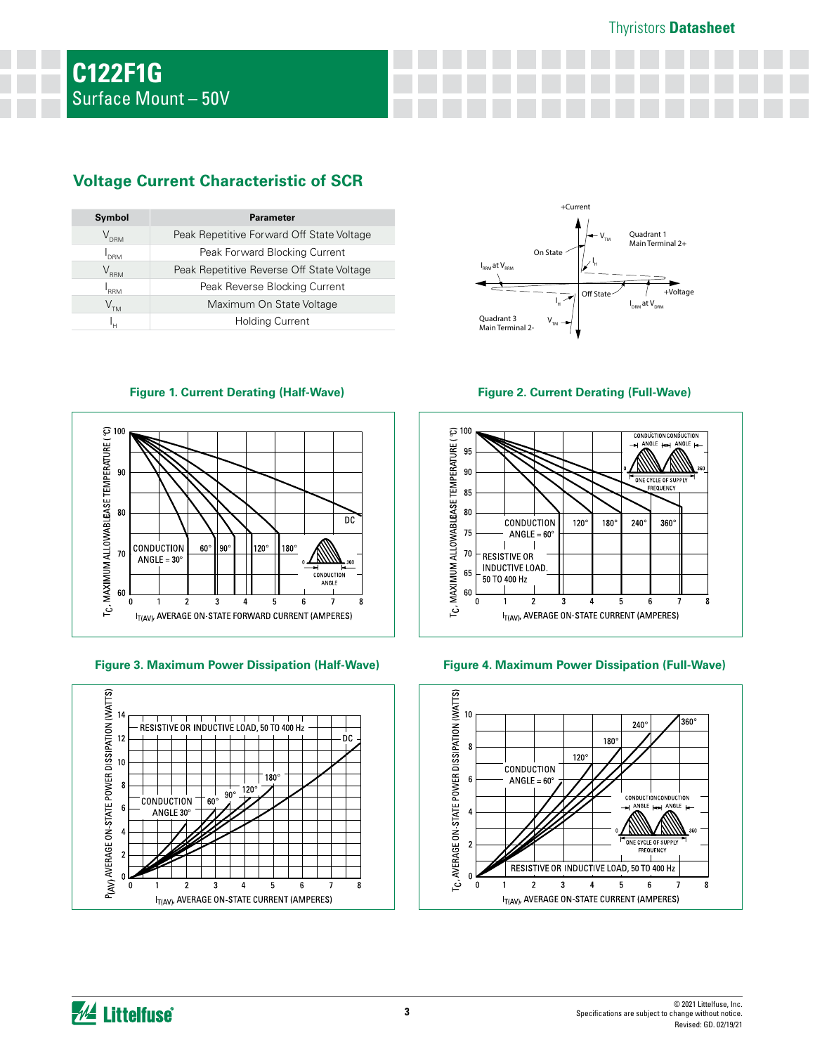#### Thyristors **Datasheet**

# **Voltage Current Characteristic of SCR**

| Symbol           | <b>Parameter</b>                          |
|------------------|-------------------------------------------|
| V <sub>DRM</sub> | Peak Repetitive Forward Off State Voltage |
| "DRM             | Peak Forward Blocking Current             |
| $\rm V_{_{RRM}}$ | Peak Repetitive Reverse Off State Voltage |
| <b>RRM</b>       | Peak Reverse Blocking Current             |
| $V^{\text{th}}$  | Maximum On State Voltage                  |
|                  | <b>Holding Current</b>                    |



**Figure 1. Current Derating (Half-Wave) Figure 2. Current Derating (Full-Wave)**



**Figure 3. Maximum Power Dissipation (Half-Wave) Figure 4. Maximum Power Dissipation (Full-Wave)**